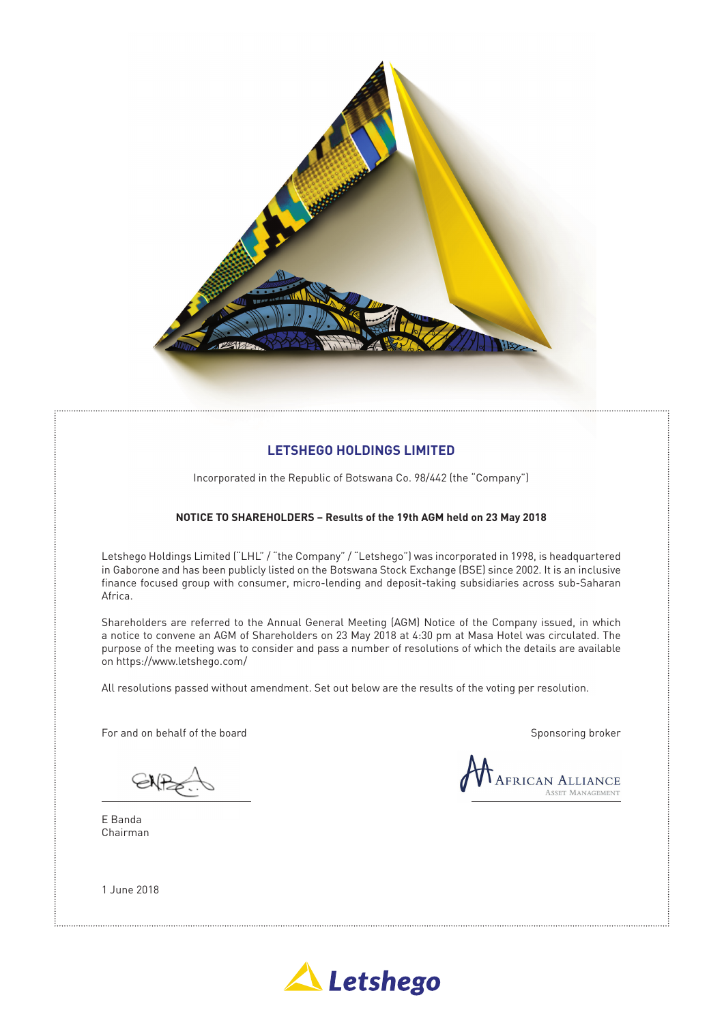

### **LETSHEGO HOLDINGS LIMITED**

Incorporated in the Republic of Botswana Co. 98/442 (the "Company")

#### **NOTICE TO SHAREHOLDERS – Results of the 19th AGM held on 23 May 2018**

Letshego Holdings Limited ("LHL" / "the Company" / "Letshego") was incorporated in 1998, is headquartered in Gaborone and has been publicly listed on the Botswana Stock Exchange (BSE) since 2002. It is an inclusive finance focused group with consumer, micro-lending and deposit-taking subsidiaries across sub-Saharan Africa.

Shareholders are referred to the Annual General Meeting (AGM) Notice of the Company issued, in which a notice to convene an AGM of Shareholders on 23 May 2018 at 4:30 pm at Masa Hotel was circulated. The purpose of the meeting was to consider and pass a number of resolutions of which the details are available on https://www.letshego.com/

All resolutions passed without amendment. Set out below are the results of the voting per resolution.

For and on behalf of the board Sponsoring broker Sponsoring broker

E Banda Chairman



1 June 2018

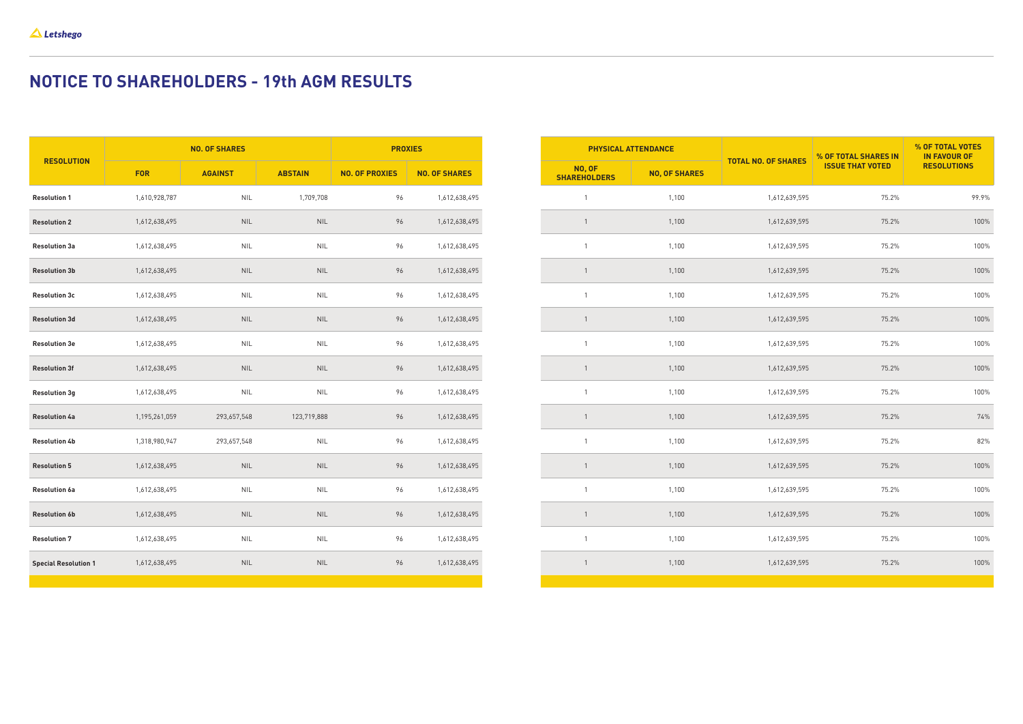| <b>RESOLUTION</b>           | <b>NO. OF SHARES</b> |                |                | <b>PROXIES</b>        |                      |
|-----------------------------|----------------------|----------------|----------------|-----------------------|----------------------|
|                             | <b>FOR</b>           | <b>AGAINST</b> | <b>ABSTAIN</b> | <b>NO. OF PROXIES</b> | <b>NO. OF SHARES</b> |
| <b>Resolution 1</b>         | 1,610,928,787        | <b>NIL</b>     | 1,709,708      | 96                    | 1,612,638,495        |
| <b>Resolution 2</b>         | 1,612,638,495        | <b>NIL</b>     | <b>NIL</b>     | 96                    | 1,612,638,495        |
| <b>Resolution 3a</b>        | 1,612,638,495        | <b>NIL</b>     | <b>NIL</b>     | 96                    | 1,612,638,495        |
| <b>Resolution 3b</b>        | 1,612,638,495        | <b>NIL</b>     | <b>NIL</b>     | 96                    | 1,612,638,495        |
| <b>Resolution 3c</b>        | 1,612,638,495        | <b>NIL</b>     | <b>NIL</b>     | 96                    | 1,612,638,495        |
| <b>Resolution 3d</b>        | 1,612,638,495        | <b>NIL</b>     | <b>NIL</b>     | 96                    | 1,612,638,495        |
| <b>Resolution 3e</b>        | 1,612,638,495        | <b>NIL</b>     | <b>NIL</b>     | 96                    | 1,612,638,495        |
| <b>Resolution 3f</b>        | 1,612,638,495        | <b>NIL</b>     | <b>NIL</b>     | 96                    | 1,612,638,495        |
| <b>Resolution 3g</b>        | 1,612,638,495        | <b>NIL</b>     | <b>NIL</b>     | 96                    | 1,612,638,495        |
| <b>Resolution 4a</b>        | 1,195,261,059        | 293,657,548    | 123,719,888    | 96                    | 1,612,638,495        |
| <b>Resolution 4b</b>        | 1,318,980,947        | 293,657,548    | <b>NIL</b>     | 96                    | 1,612,638,495        |
| <b>Resolution 5</b>         | 1,612,638,495        | <b>NIL</b>     | <b>NIL</b>     | 96                    | 1,612,638,495        |
| <b>Resolution 6a</b>        | 1,612,638,495        | <b>NIL</b>     | <b>NIL</b>     | 96                    | 1,612,638,495        |
| <b>Resolution 6b</b>        | 1,612,638,495        | <b>NIL</b>     | <b>NIL</b>     | 96                    | 1,612,638,495        |
| <b>Resolution 7</b>         | 1,612,638,495        | <b>NIL</b>     | <b>NIL</b>     | 96                    | 1,612,638,495        |
| <b>Special Resolution 1</b> | 1,612,638,495        | <b>NIL</b>     | <b>NIL</b>     | 96                    | 1,612,638,495        |
|                             |                      |                |                |                       |                      |

| <b>PHYSICAL ATTENDANCE</b>           |                      | <b>TOTAL NO. OF SHARES</b> | % OF TOTAL SHARES IN    | % OF TOTAL VOTES<br><b>IN FAVOUR OF</b> |
|--------------------------------------|----------------------|----------------------------|-------------------------|-----------------------------------------|
| <b>NO, OF</b><br><b>SHAREHOLDERS</b> | <b>NO, OF SHARES</b> |                            | <b>ISSUE THAT VOTED</b> | <b>RESOLUTIONS</b>                      |
| $\mathbf{1}$                         | 1,100                | 1,612,639,595              | 75.2%                   | 99.9%                                   |
| $\,1\,$                              | 1,100                | 1,612,639,595              | 75.2%                   | 100%                                    |
| $\mathbf{1}$                         | 1,100                | 1,612,639,595              | 75.2%                   | 100%                                    |
| $\mathbf{1}$                         | 1,100                | 1,612,639,595              | 75.2%                   | 100%                                    |
| $\mathbf{1}$                         | 1,100                | 1,612,639,595              | 75.2%                   | 100%                                    |
| $\,1\,$                              | 1,100                | 1,612,639,595              | 75.2%                   | 100%                                    |
| $\mathbf{1}$                         | 1,100                | 1,612,639,595              | 75.2%                   | 100%                                    |
| $\mathbf{1}$                         | 1,100                | 1,612,639,595              | 75.2%                   | 100%                                    |
| $\mathbf{1}$                         | 1,100                | 1,612,639,595              | 75.2%                   | 100%                                    |
| $\mathbf{1}$                         | 1,100                | 1,612,639,595              | 75.2%                   | 74%                                     |
| $\mathbf{1}$                         | 1,100                | 1,612,639,595              | 75.2%                   | 82%                                     |
| $\mathbf{1}$                         | 1,100                | 1,612,639,595              | 75.2%                   | 100%                                    |
| $\mathbf{1}$                         | 1,100                | 1,612,639,595              | 75.2%                   | 100%                                    |
| $1\,$                                | 1,100                | 1,612,639,595              | 75.2%                   | 100%                                    |
| $\mathbf{1}$                         | 1,100                | 1,612,639,595              | 75.2%                   | 100%                                    |
| $\ensuremath{\mathsf{1}}$            | 1,100                | 1,612,639,595              | 75.2%                   | 100%                                    |

# **NOTICE TO SHAREHOLDERS - 19th AGM RESULTS**